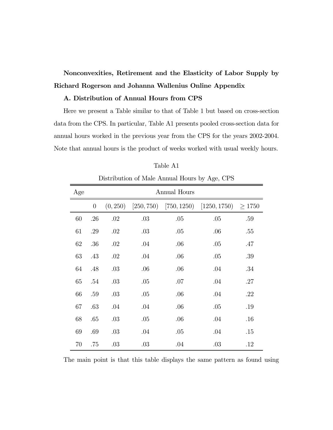# Nonconvexities, Retirement and the Elasticity of Labor Supply by Richard Rogerson and Johanna Wallenius Online Appendix

## A. Distribution of Annual Hours from CPS

Here we present a Table similar to that of Table 1 but based on cross-section data from the CPS. In particular, Table A1 presents pooled cross-section data for annual hours worked in the previous year from the CPS for the years 2002-2004. Note that annual hours is the product of weeks worked with usual weekly hours.

| Age | Annual Hours     |          |     |     |                                           |             |  |  |
|-----|------------------|----------|-----|-----|-------------------------------------------|-------------|--|--|
|     | $\boldsymbol{0}$ | (0, 250) |     |     | $[250, 750)$ $[750, 1250)$ $[1250, 1750)$ | $\geq 1750$ |  |  |
| 60  | .26              | .02      | .03 | .05 | .05                                       | .59         |  |  |
| 61  | .29              | .02      | .03 | .05 | .06                                       | .55         |  |  |
| 62  | .36              | .02      | .04 | .06 | .05                                       | .47         |  |  |
| 63  | .43              | .02      | .04 | .06 | .05                                       | .39         |  |  |
| 64  | .48              | .03      | .06 | .06 | .04                                       | .34         |  |  |
| 65  | .54              | .03      | .05 | .07 | .04                                       | .27         |  |  |
| 66  | .59              | .03      | .05 | .06 | .04                                       | .22         |  |  |
| 67  | .63              | .04      | .04 | .06 | .05                                       | .19         |  |  |
| 68  | .65              | .03      | .05 | .06 | .04                                       | .16         |  |  |
| 69  | .69              | .03      | .04 | .05 | .04                                       | .15         |  |  |
| 70  | .75              | .03      | .03 | .04 | .03                                       | .12         |  |  |

Table A1

Distribution of Male Annual Hours by Age, CPS

The main point is that this table displays the same pattern as found using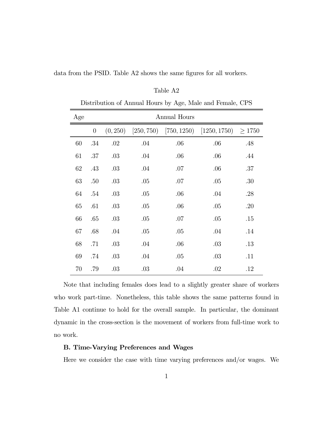| Age    | <b>Annual Hours</b> |          |     |     |                                           |       |  |
|--------|---------------------|----------|-----|-----|-------------------------------------------|-------|--|
|        | $\theta$            | (0, 250) |     |     | $[250, 750)$ $[750, 1250)$ $[1250, 1750)$ | >1750 |  |
| 60     | $.34\,$             | .02      | .04 | .06 | .06                                       | .48   |  |
| 61     | .37                 | .03      | .04 | .06 | .06                                       | .44   |  |
| 62     | .43                 | .03      | .04 | .07 | .06                                       | .37   |  |
| 63     | .50                 | .03      | .05 | .07 | .05                                       | .30   |  |
| 64     | .54                 | .03      | .05 | .06 | .04                                       | .28   |  |
| 65     | .61                 | .03      | .05 | .06 | .05                                       | .20   |  |
| 66     | .65                 | .03      | .05 | .07 | .05                                       | .15   |  |
| 67     | .68                 | .04      | .05 | .05 | .04                                       | .14   |  |
| 68     | .71                 | .03      | .04 | .06 | .03                                       | .13   |  |
| 69     | .74                 | .03      | .04 | .05 | .03                                       | .11   |  |
| $70\,$ | .79                 | .03      | .03 | .04 | .02                                       | .12   |  |

data from the PSID. Table A2 shows the same figures for all workers.

### Table A2

Distribution of Annual Hours by Age, Male and Female, CPS

Note that including females does lead to a slightly greater share of workers who work part-time. Nonetheless, this table shows the same patterns found in Table A1 continue to hold for the overall sample. In particular, the dominant dynamic in the cross-section is the movement of workers from full-time work to no work.

## B. Time-Varying Preferences and Wages

Here we consider the case with time varying preferences and/or wages. We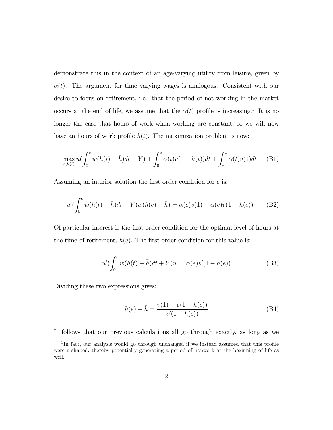demonstrate this in the context of an age-varying utility from leisure, given by  $\alpha(t)$ . The argument for time varying wages is analogous. Consistent with our desire to focus on retirement, i.e., that the period of not working in the market occurs at the end of life, we assume that the  $\alpha(t)$  profile is increasing.<sup>1</sup> It is no longer the case that hours of work when working are constant, so we will now have an hours of work profile  $h(t)$ . The maximization problem is now:

$$
\max_{e,h(t)} u\left(\int_0^e w(h(t)-\bar{h})dt + Y\right) + \int_0^e \alpha(t)v(1-h(t))dt + \int_e^1 \alpha(t)v(1)dt \tag{B1}
$$

Assuming an interior solution the first order condition for  $e$  is:

$$
u'(\int_0^e w(h(t) - \bar{h})dt + Y)w(h(e) - \bar{h}) = \alpha(e)v(1) - \alpha(e)v(1 - h(e))
$$
 (B2)

Of particular interest is the first order condition for the optimal level of hours at the time of retirement,  $h(e)$ . The first order condition for this value is:

$$
u'(\int_0^e w(h(t) - \bar{h})dt + Y)w = \alpha(e)v'(1 - h(e))
$$
 (B3)

Dividing these two expressions gives:

$$
h(e) - \bar{h} = \frac{v(1) - v(1 - h(e))}{v'(1 - h(e))}
$$
 (B4)

It follows that our previous calculations all go through exactly, as long as we

<sup>&</sup>lt;sup>1</sup>In fact, our analysis would go through unchanged if we instead assumed that this profile were u-shaped, thereby potentially generating a period of nonwork at the beginning of life as well.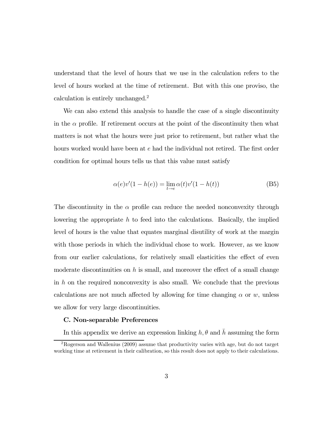understand that the level of hours that we use in the calculation refers to the level of hours worked at the time of retirement. But with this one proviso, the calculation is entirely unchanged.2

We can also extend this analysis to handle the case of a single discontinuity in the  $\alpha$  profile. If retirement occurs at the point of the discontinuity then what matters is not what the hours were just prior to retirement, but rather what the hours worked would have been at e had the individual not retired. The first order condition for optimal hours tells us that this value must satisfy

$$
\alpha(e)v'(1 - h(e)) = \lim_{t \to e} \alpha(t)v'(1 - h(t))
$$
\n(B5)

The discontinuity in the  $\alpha$  profile can reduce the needed nonconvexity through lowering the appropriate  $h$  to feed into the calculations. Basically, the implied level of hours is the value that equates marginal disutility of work at the margin with those periods in which the individual chose to work. However, as we know from our earlier calculations, for relatively small elasticities the effect of even moderate discontinuities on  $h$  is small, and moreover the effect of a small change in  $h$  on the required nonconvexity is also small. We conclude that the previous calculations are not much affected by allowing for time changing  $\alpha$  or  $w$ , unless we allow for very large discontinuities.

#### C. Non-separable Preferences

In this appendix we derive an expression linking  $h, \theta$  and  $\bar{h}$  assuming the form

<sup>2</sup>Rogerson and Wallenius (2009) assume that productivity varies with age, but do not target working time at retirement in their calibration, so this result does not apply to their calculations.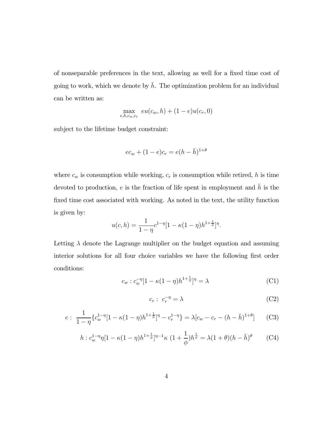of nonseparable preferences in the text, allowing as well for a fixed time cost of going to work, which we denote by  $\bar{h}$ . The optimization problem for an individual can be written as:

$$
\max_{e, h, c_w, c_r} eu(c_w, h) + (1 - e)u(c_r, 0)
$$

subject to the lifetime budget constraint:

$$
ec_w + (1 - e)c_r = e(h - \bar{h})^{1 + \theta}
$$

where  $c_w$  is consumption while working,  $c_r$  is consumption while retired,  $h$  is time devoted to production,  $e$  is the fraction of life spent in employment and  $\bar{h}$  is the fixed time cost associated with working. As noted in the text, the utility function is given by:

$$
u(c,h) = \frac{1}{1-\eta}c^{1-\eta}[1-\kappa(1-\eta)h^{1+\frac{1}{\phi}}]^{\eta}.
$$

Letting  $\lambda$  denote the Lagrange multiplier on the budget equation and assuming interior solutions for all four choice variables we have the following first order conditions:

$$
c_w : c_w^{-\eta} [1 - \kappa (1 - \eta) h^{1 + \frac{1}{\phi}}]^{\eta} = \lambda
$$
 (C1)

$$
c_r: c_r^{-\eta} = \lambda \tag{C2}
$$

$$
e: \frac{1}{1-\eta} \{c_w^{1-\eta} [1 - \kappa (1-\eta) h^{1+\frac{1}{\phi}}]^{\eta} - c_r^{1-\eta} \} = \lambda [c_w - c_r - (h - \bar{h})^{1+\theta}] \tag{C3}
$$

$$
h: c_w^{1-\eta} \eta [1 - \kappa (1-\eta) h^{1+\frac{1}{\phi}}]^{\eta-1} \kappa \ (1+\frac{1}{\phi}) h^{\frac{1}{\phi}} = \lambda (1+\theta)(h-\bar{h})^{\theta} \qquad (C4)
$$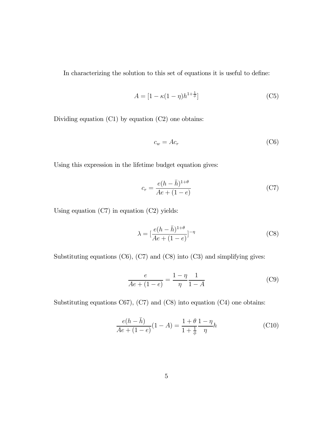In characterizing the solution to this set of equations it is useful to define:

$$
A = \left[1 - \kappa(1 - \eta)h^{1 + \frac{1}{\phi}}\right] \tag{C5}
$$

Dividing equation (C1) by equation (C2) one obtains:

$$
c_w = Ac_r \tag{C6}
$$

Using this expression in the lifetime budget equation gives:

$$
c_r = \frac{e(h - \bar{h})^{1+\theta}}{Ae + (1 - e)}
$$
(C7)

Using equation (C7) in equation (C2) yields:

$$
\lambda = \left[\frac{e(h - \bar{h})^{1+\theta}}{Ae + (1 - e)}\right]^{-\eta} \tag{C8}
$$

Substituting equations  $(C6)$ ,  $(C7)$  and  $(C8)$  into  $(C3)$  and simplifying gives:

$$
\frac{e}{Ae + (1 - e)} = \frac{1 - \eta}{\eta} \frac{1}{1 - A}
$$
 (C9)

Substituting equations C67), (C7) and (C8) into equation (C4) one obtains:

$$
\frac{e(h-\bar{h})}{Ae + (1-e)}(1-A) = \frac{1+\theta}{1+\frac{1}{\phi}}\frac{1-\eta}{\eta}h
$$
\n(C10)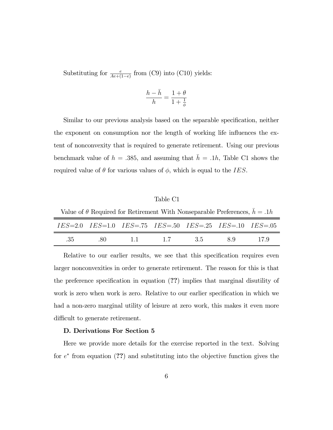Substituting for  $\frac{e}{Ae+(1-e)}$  from (C9) into (C10) yields:

$$
\frac{h-\bar{h}}{h}=\frac{1+\theta}{1+\frac{1}{\phi}}
$$

Similar to our previous analysis based on the separable specification, neither the exponent on consumption nor the length of working life influences the extent of nonconvexity that is required to generate retirement. Using our previous benchmark value of  $h = .385$ , and assuming that  $\bar{h} = .1h$ , Table C1 shows the required value of  $\theta$  for various values of  $\phi$ , which is equal to the *IES*.

#### Table C1

Value of  $\theta$  Required for Retirement With Nonseparable Preferences,  $\bar{h}=.1h$ 

|        |  |             | $IES=2.0$ $IES=1.0$ $IES=.75$ $IES=.50$ $IES=.25$ $IES=.10$ $IES=.05$ |     |      |
|--------|--|-------------|-----------------------------------------------------------------------|-----|------|
| - 35 - |  | 80 11 17 35 |                                                                       | 8.9 | 17 9 |

Relative to our earlier results, we see that this specification requires even larger nonconvexities in order to generate retirement. The reason for this is that the preference specification in equation (??) implies that marginal disutility of work is zero when work is zero. Relative to our earlier specification in which we had a non-zero marginal utility of leisure at zero work, this makes it even more difficult to generate retirement.

## D. Derivations For Section 5

Here we provide more details for the exercise reported in the text. Solving for  $e^*$  from equation (??) and substituting into the objective function gives the